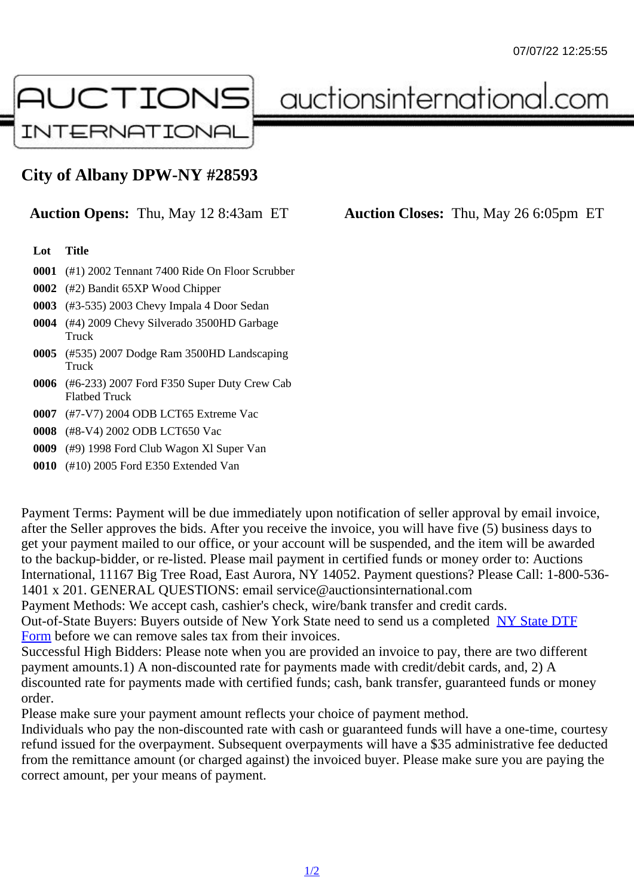## City of Albany DPW-NY #28593

## Auction Opens: Thu, May 12 8:43am ET Auction Closes: Thu, May 26 6:05pm ET

## Lot Title

- 0001 (#1) 2002 Tennant 7400 Ride On Floor Scrubber
- 0002 (#2) Bandit 65XP Wood Chipper
- 0003 (#3-535) 2003 Chevy Impala 4 Door Sedan
- 0004 (#4) 2009 Chevy Silverado 3500HD Garbage **Truck**
- 0005 (#535) 2007 Dodge Ram 3500HD Landscaping **Truck**
- 0006 (#6-233) 2007 Ford F350 Super Duty Crew Cab Flatbed Truck
- 0007 (#7-V7) 2004 ODB LCT65 Extreme Vac
- 0008 (#8-V4) 2002 ODB LCT650 Vac
- 0009 (#9) 1998 Ford Club Wagon Xl Super Van
- 0010 (#10) 2005 Ford E350 Extended Van

Payment Terms: Payment will be due immediately upon notification of seller approval by email invoice, after the Seller approves the bids. After you receive the invoice, you will have five (5) business days to get your payment mailed to our office, or your account will be suspended, and the item will be awarded to the backup-bidder, or re-listed. Please mail payment in certified funds or money order to: Auctions International, 11167 Big Tree Road, East Aurora, NY 14052. Payment questions? Please Call: 1-800-53 1401 x 201. GENERAL QUESTIONS: email service@auctionsinternational.com Payment Methods: We accept cash, cashier's check, wire/bank transfer and credit cards.

Out-of-State Buyers: Buyers outside of New York State need to send us a complered to TTF Form before we can remove sales tax from their invoices.

Successful High Bidders: Please note when you are provided an invoice to pay, there are two different payment amounts.1) A non-discounted rate for payments made with credit/de[bit cards, and](https://www.auctionsinternational.com/auxiliary/downloads/DTF_Form/dtf_fill_in.pdf), 2) A [disco](https://www.auctionsinternational.com/auxiliary/downloads/DTF_Form/dtf_fill_in.pdf)unted rate for payments made with certified funds; cash, bank transfer, guaranteed funds or money order.

Please make sure your payment amount reflects your choice of payment method.

Individuals who pay the non-discounted rate with cash or guaranteed funds will have a one-time, courte refund issued for the overpayment. Subsequent overpayments will have a \$35 administrative fee deduc from the remittance amount (or charged against) the invoiced buyer. Please make sure you are paying correct amount, per your means of payment.